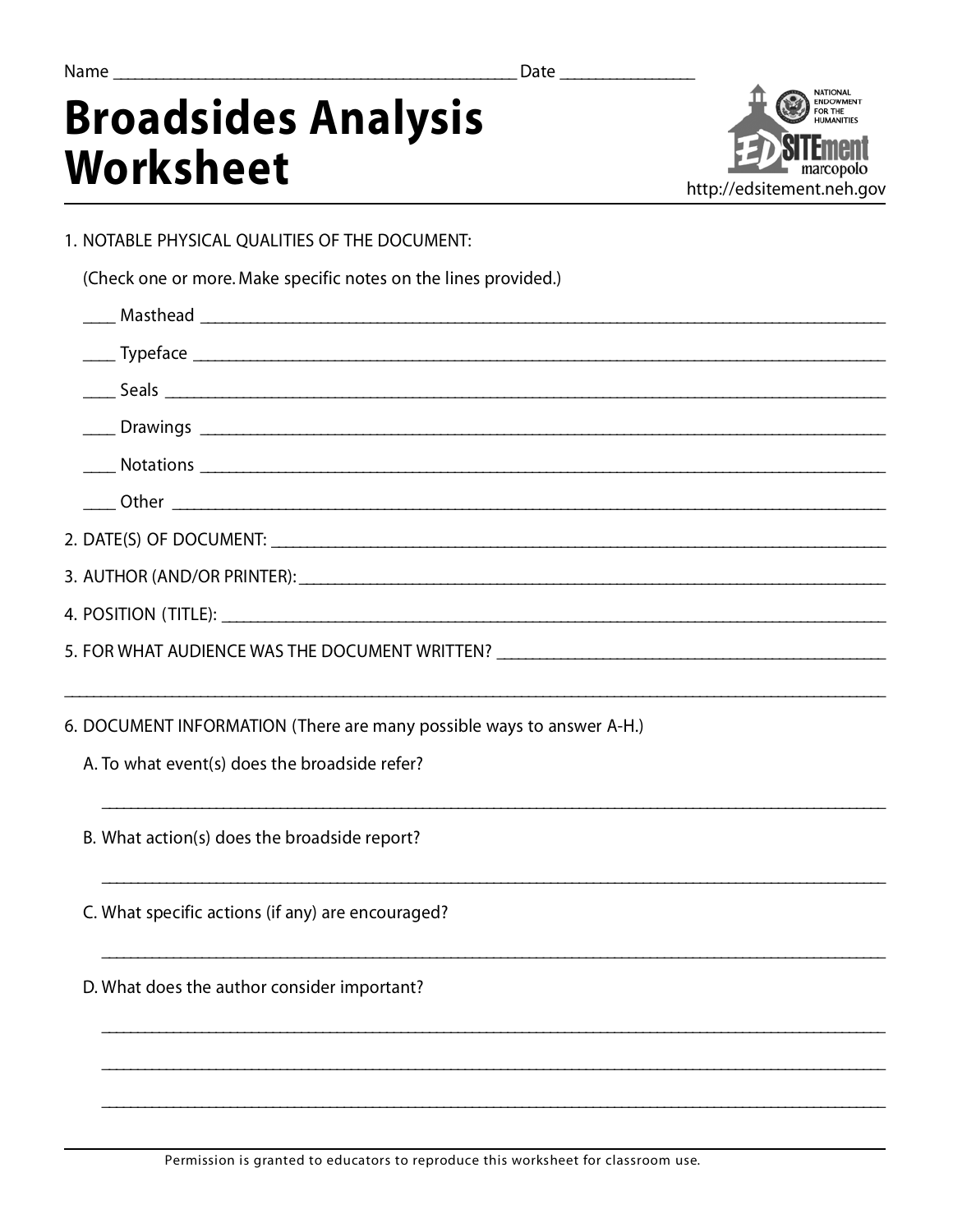Date

## **Broadsides Analysis Worksheet**



1. NOTABLE PHYSICAL QUALITIES OF THE DOCUMENT:

(Check one or more. Make specific notes on the lines provided.)

| 5. FOR WHAT AUDIENCE WAS THE DOCUMENT WRITTEN? _________________________________ |  |
|----------------------------------------------------------------------------------|--|
|                                                                                  |  |
| 6. DOCUMENT INFORMATION (There are many possible ways to answer A-H.)            |  |
| A. To what event(s) does the broadside refer?                                    |  |

B. What action(s) does the broadside report?

C. What specific actions (if any) are encouraged?

D. What does the author consider important?